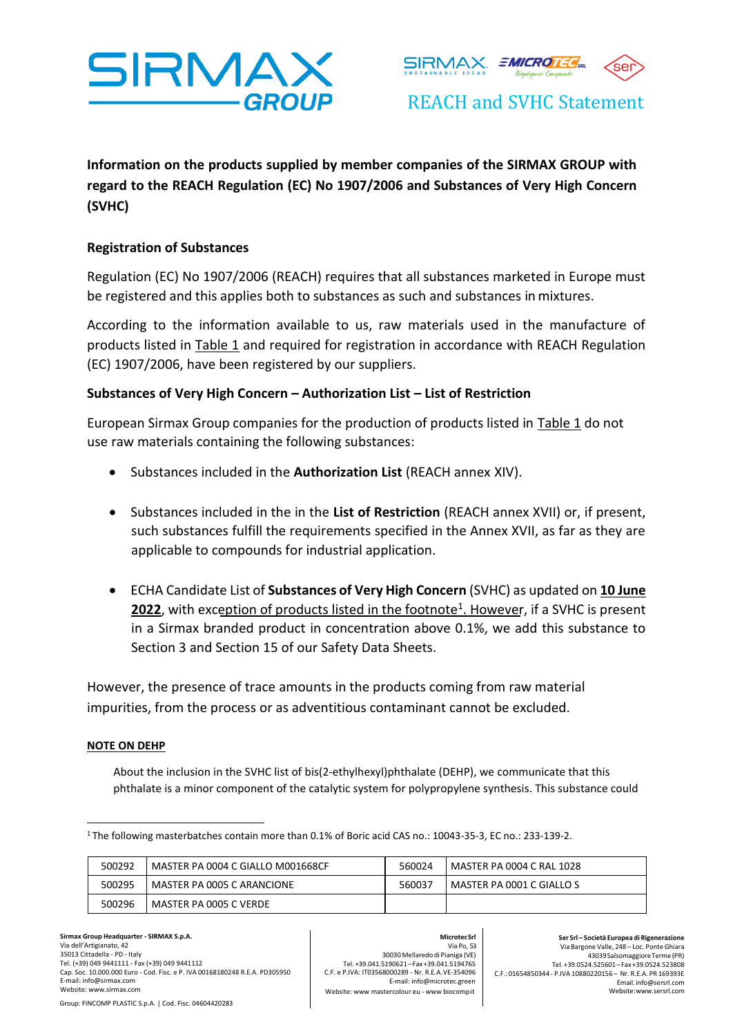



REACH and SVHC Statement

**Information on the products supplied by member companies of the SIRMAX GROUP with regard to the REACH Regulation (EC) No 1907/2006 and Substances of Very High Concern (SVHC)**

# **Registration of Substances**

Regulation (EC) No 1907/2006 (REACH) requires that all substances marketed in Europe must be registered and this applies both to substances as such and substances inmixtures.

According to the information available to us, raw materials used in the manufacture of products listed in Table 1 and required for registration in accordance with REACH Regulation (EC) 1907/2006, have been registered by our suppliers.

## **Substances of Very High Concern – Authorization List – List of Restriction**

European Sirmax Group companies for the production of products listed in Table 1 do not use raw materials containing the following substances:

- Substances included in the **Authorization List** (REACH annex XIV).
- Substances included in the in the **List of Restriction** (REACH annex XVII) or, if present, such substances fulfill the requirements specified in the Annex XVII, as far as they are applicable to compounds for industrial application.
- ECHA Candidate List of **Substances of Very High Concern** (SVHC) as updated on **10 June** 2022, with exception of products listed in the footnote<sup>1</sup>. However, if a SVHC is present in a Sirmax branded product in concentration above 0.1%, we add this substance to Section 3 and Section 15 of our Safety Data Sheets.

However, the presence of trace amounts in the products coming from raw material impurities, from the process or as adventitious contaminant cannot be excluded.

## **NOTE ON DEHP**

About the inclusion in the SVHC list of bis(2-ethylhexyl)phthalate (DEHP), we communicate that this phthalate is a minor component of the catalytic system for polypropylene synthesis. This substance could

<sup>1</sup>The following masterbatches contain more than 0.1% of Boric acid CAS no.: 10043-35-3, EC no.: 233-139-2.

| 500292 | MASTER PA 0004 C GIALLO M001668CF | 560024 | l MASTER PA 0004 C RAL 1028 |
|--------|-----------------------------------|--------|-----------------------------|
| 500295 | MASTER PA 0005 C ARANCIONE        | 560037 | MASTER PA 0001 C GIALLO S   |
| 500296 | MASTER PA 0005 C VERDE            |        |                             |